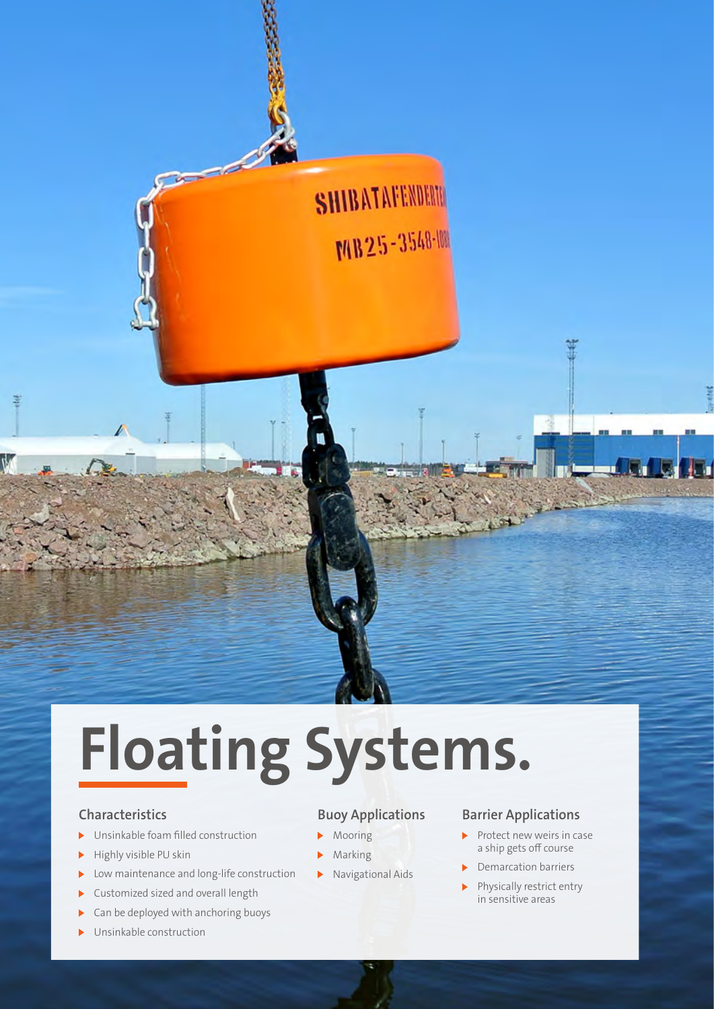

# **Floating Systems.**

#### **Characteristics**

- Unsinkable foam filled construction Ы
- $\blacktriangleright$  Highly visible PU skin
- $\blacktriangleright$ Low maintenance and long-life construction
- Customized sized and overall length
- $\triangleright$  Can be deployed with anchoring buoys
- Unsinkable construction

### **Buoy Applications**

- $\mathbf{B}$ Mooring
- $\ddot{\phantom{1}}$ Marking
- $\blacktriangleright$ Navigational Aids

### **Barrier Applications**

- $\blacktriangleright$  Protect new weirs in case a ship gets off course
- Demarcation barriers
- Physically restrict entry in sensitive areas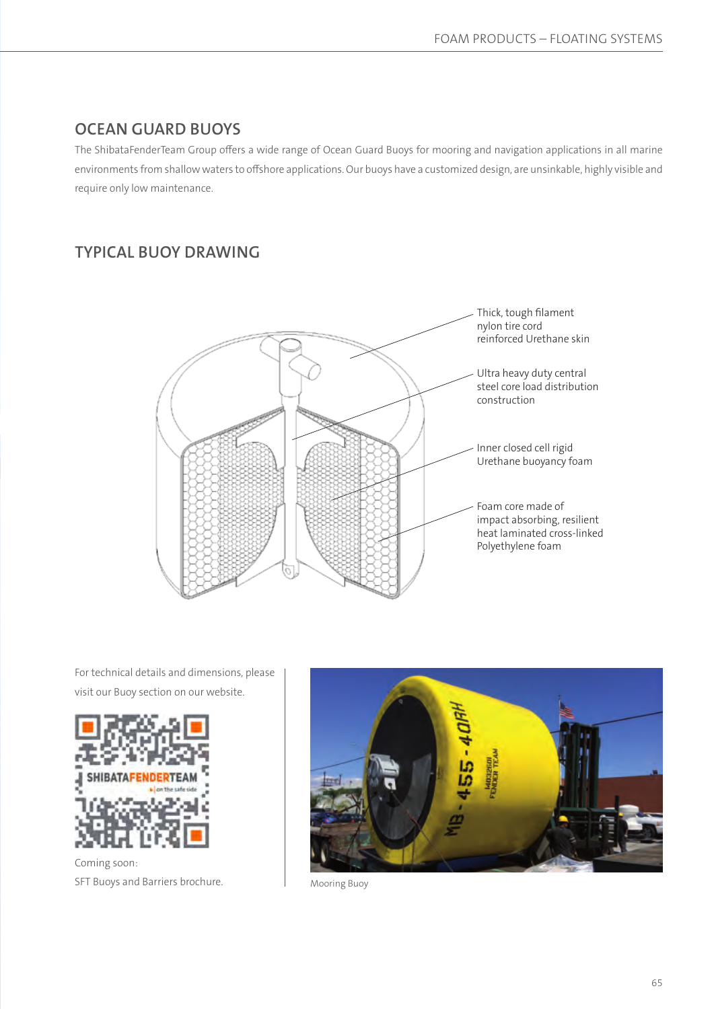## **OCEAN GUARD BUOYS**

The ShibataFenderTeam Group offers a wide range of Ocean Guard Buoys for mooring and navigation applications in all marine environments from shallow waters to offshore applications. Our buoys have a customized design, are unsinkable, highly visible and require only low maintenance.

# **TYPICAL BUOY DRAWING**



For technical details and dimensions, please visit our Buoy section on our website.



Coming soon: SFT Buoys and Barriers brochure.



Mooring Buoy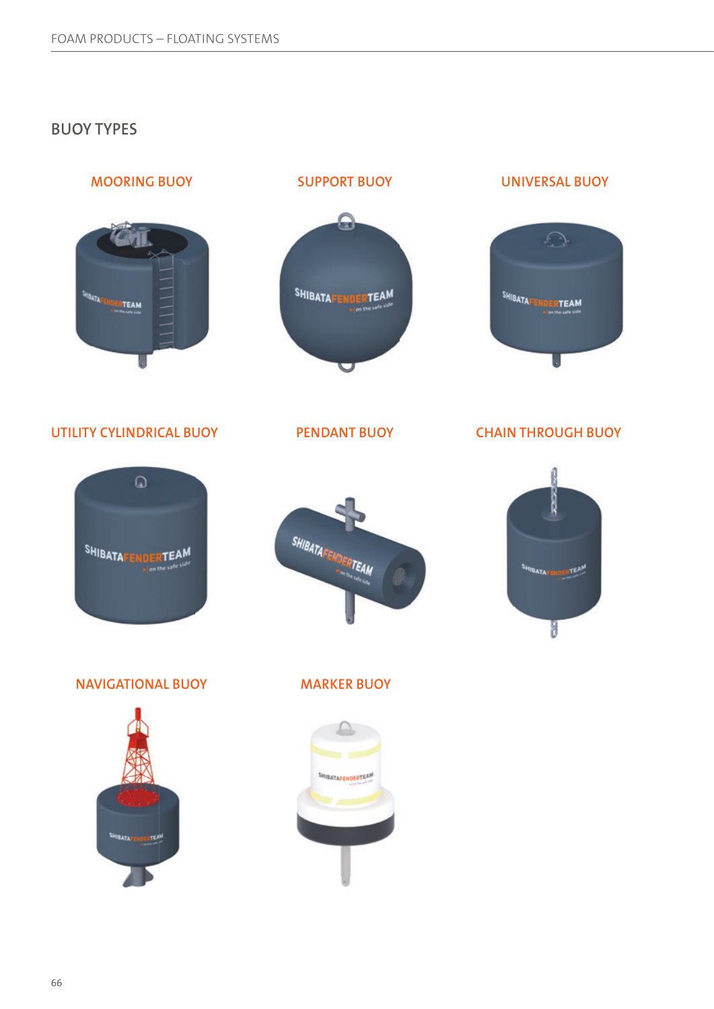## **BUOY TYPES**